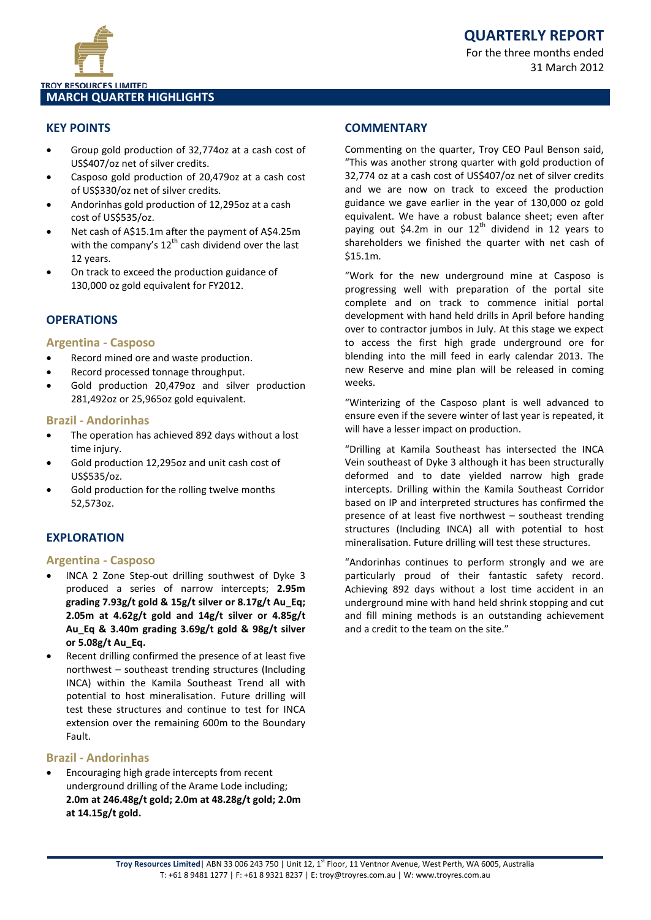

### **MARCH QUARTER HIGHLIGHTS**

### **KEY POINTS**

- Group gold production of 32,774oz at a cash cost of US\$407/oz net of silver credits.
- Casposo gold production of 20,479oz at a cash cost of US\$330/oz net of silver credits.
- Andorinhas gold production of 12,295oz at a cash cost of US\$535/oz.
- Net cash of A\$15.1m after the payment of A\$4.25m with the company's  $12^{th}$  cash dividend over the last 12 years.
- On track to exceed the production guidance of 130,000 oz gold equivalent for FY2012.

### **OPERATIONS**

### **Argentina - Casposo**

- Record mined ore and waste production.
- Record processed tonnage throughput.
- Gold production 20,479oz and silver production 281,492oz or 25,965oz gold equivalent.

### **Brazil - Andorinhas**

- The operation has achieved 892 days without a lost time injury.
- Gold production 12,295oz and unit cash cost of US\$535/oz.
- Gold production for the rolling twelve months 52,573oz.

### **EXPLORATION**

### **Argentina - Casposo**

- INCA 2 Zone Step-out drilling southwest of Dyke 3 produced a series of narrow intercepts; **2.95m grading 7.93g/t gold & 15g/t silver or 8.17g/t Au\_Eq; 2.05m at 4.62g/t gold and 14g/t silver or 4.85g/t Au\_Eq & 3.40m grading 3.69g/t gold & 98g/t silver or 5.08g/t Au\_Eq.**
- Recent drilling confirmed the presence of at least five northwest – southeast trending structures (Including INCA) within the Kamila Southeast Trend all with potential to host mineralisation. Future drilling will test these structures and continue to test for INCA extension over the remaining 600m to the Boundary Fault.

### **Brazil - Andorinhas**

• Encouraging high grade intercepts from recent underground drilling of the Arame Lode including; **2.0m at 246.48g/t gold; 2.0m at 48.28g/t gold; 2.0m at 14.15g/t gold.**

### **COMMENTARY**

Commenting on the quarter, Troy CEO Paul Benson said, "This was another strong quarter with gold production of 32,774 oz at a cash cost of US\$407/oz net of silver credits and we are now on track to exceed the production guidance we gave earlier in the year of 130,000 oz gold equivalent. We have a robust balance sheet; even after paying out \$4.2m in our  $12<sup>th</sup>$  dividend in 12 years to shareholders we finished the quarter with net cash of \$15.1m.

"Work for the new underground mine at Casposo is progressing well with preparation of the portal site complete and on track to commence initial portal development with hand held drills in April before handing over to contractor jumbos in July. At this stage we expect to access the first high grade underground ore for blending into the mill feed in early calendar 2013. The new Reserve and mine plan will be released in coming weeks.

"Winterizing of the Casposo plant is well advanced to ensure even if the severe winter of last year is repeated, it will have a lesser impact on production.

"Drilling at Kamila Southeast has intersected the INCA Vein southeast of Dyke 3 although it has been structurally deformed and to date yielded narrow high grade intercepts. Drilling within the Kamila Southeast Corridor based on IP and interpreted structures has confirmed the presence of at least five northwest – southeast trending structures (Including INCA) all with potential to host mineralisation. Future drilling will test these structures.

"Andorinhas continues to perform strongly and we are particularly proud of their fantastic safety record. Achieving 892 days without a lost time accident in an underground mine with hand held shrink stopping and cut and fill mining methods is an outstanding achievement and a credit to the team on the site."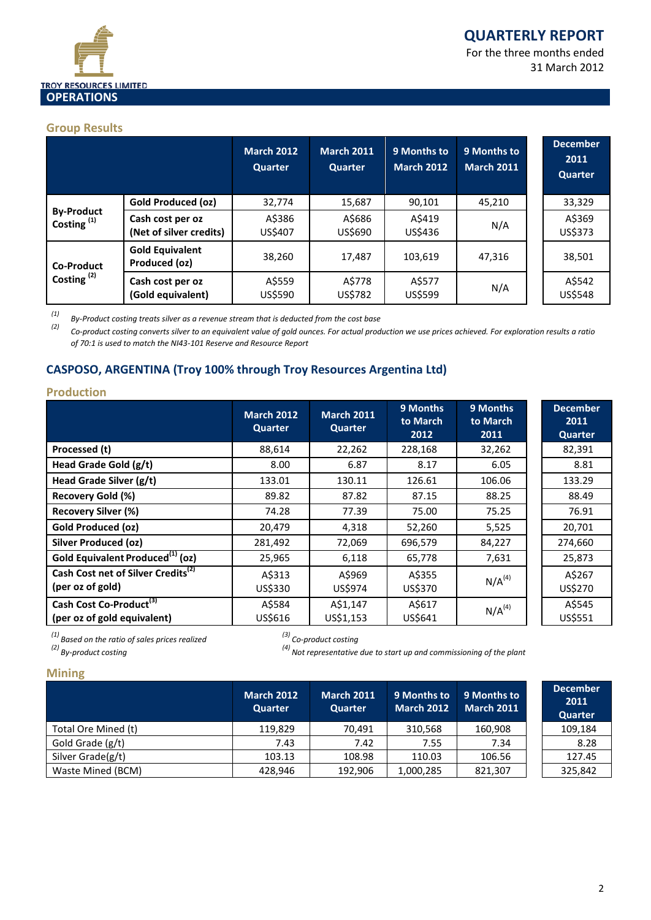

For the three months ended 31 March 2012

### **Group Results**

|                                    |                                             | <b>March 2012</b><br><b>Quarter</b> | <b>March 2011</b><br>Quarter | 9 Months to<br>March 2012 | 9 Months to<br><b>March 2011</b> |  | <b>December</b><br>2011<br>Quarter |
|------------------------------------|---------------------------------------------|-------------------------------------|------------------------------|---------------------------|----------------------------------|--|------------------------------------|
|                                    | <b>Gold Produced (oz)</b>                   | 32,774                              | 15,687                       | 90,101                    | 45,210                           |  | 33,329                             |
| <b>By-Product</b><br>Costing $(1)$ | Cash cost per oz<br>(Net of silver credits) | A\$386<br>US\$407                   | A\$686<br>US\$690            | A\$419<br>US\$436         | N/A                              |  | A\$369<br>US\$373                  |
| <b>Co-Product</b>                  | <b>Gold Equivalent</b><br>Produced (oz)     | 38,260                              | 17,487                       | 103.619                   | 47,316                           |  | 38,501                             |
| Costing $(2)$                      | Cash cost per oz<br>(Gold equivalent)       | A\$559<br>US\$590                   | A\$778<br>US\$782            | A\$577<br>US\$599         | N/A                              |  | A\$542<br>US\$548                  |

*(1) By-Product costing treats silver as a revenue stream that is deducted from the cost base*

*(2) Co-product costing converts silver to an equivalent value of gold ounces. For actual production we use prices achieved. For exploration results a ratio of 70:1 is used to match the NI43-101 Reserve and Resource Report*

### **CASPOSO, ARGENTINA (Troy 100% through Troy Resources Argentina Ltd)**

### **Production**

|                                                                    | <b>March 2012</b><br>Quarter | <b>March 2011</b><br><b>Quarter</b> | 9 Months<br>to March<br>2012 | 9 Months<br>to March<br>2011 | <b>December</b><br>2011<br><b>Quarter</b> |
|--------------------------------------------------------------------|------------------------------|-------------------------------------|------------------------------|------------------------------|-------------------------------------------|
| Processed (t)                                                      | 88,614                       | 22,262                              | 228,168                      | 32,262                       | 82,391                                    |
| Head Grade Gold (g/t)                                              | 8.00                         | 6.87                                | 8.17                         | 6.05                         | 8.81                                      |
| Head Grade Silver (g/t)                                            | 133.01                       | 130.11                              | 126.61                       | 106.06                       | 133.29                                    |
| Recovery Gold (%)                                                  | 89.82                        | 87.82                               | 87.15                        | 88.25                        | 88.49                                     |
| <b>Recovery Silver (%)</b>                                         | 74.28                        | 77.39                               | 75.00                        | 75.25                        | 76.91                                     |
| <b>Gold Produced (oz)</b>                                          | 20,479                       | 4,318                               | 52,260                       | 5,525                        | 20,701                                    |
| <b>Silver Produced (oz)</b>                                        | 281,492                      | 72,069                              | 696,579                      | 84,227                       | 274,660                                   |
| Gold Equivalent Produced <sup>(1)</sup> (oz)                       | 25,965                       | 6,118                               | 65,778                       | 7,631                        | 25,873                                    |
| Cash Cost net of Silver Credits <sup>(2)</sup><br>(per oz of gold) | A\$313<br>US\$330            | A\$969<br>US\$974                   | A\$355<br>US\$370            | $N/A^{(4)}$                  | A\$267<br>US\$270                         |
| Cash Cost Co-Product <sup>(3)</sup><br>(per oz of gold equivalent) | A\$584<br>US\$616            | A\$1,147<br>US\$1,153               | A\$617<br>US\$641            | $N/A^{(4)}$                  | A\$545<br>US\$551                         |

*(1) Based on the ratio of sales prices realized (3) Co-product costing*

*(2) By-product costing (4) Not representative due to start up and commissioning of the plant*

### **Mining**

|                     | <b>March 2012</b><br><b>Quarter</b> | March 2011<br><b>Quarter</b> | 9 Months to<br><b>March 2012</b> | 9 Months to<br><b>March 2011</b> | <b>December</b><br>2011<br>Quarter |
|---------------------|-------------------------------------|------------------------------|----------------------------------|----------------------------------|------------------------------------|
| Total Ore Mined (t) | 119.829                             | 70.491                       | 310,568                          | 160,908                          | 109,184                            |
| Gold Grade (g/t)    | 7.43                                | 7.42                         | 7.55                             | 7.34                             | 8.28                               |
| Silver Grade(g/t)   | 103.13                              | 108.98                       | 110.03                           | 106.56                           | 127.45                             |
| Waste Mined (BCM)   | 428.946                             | 192,906                      | 1,000,285                        | 821,307                          | 325,842                            |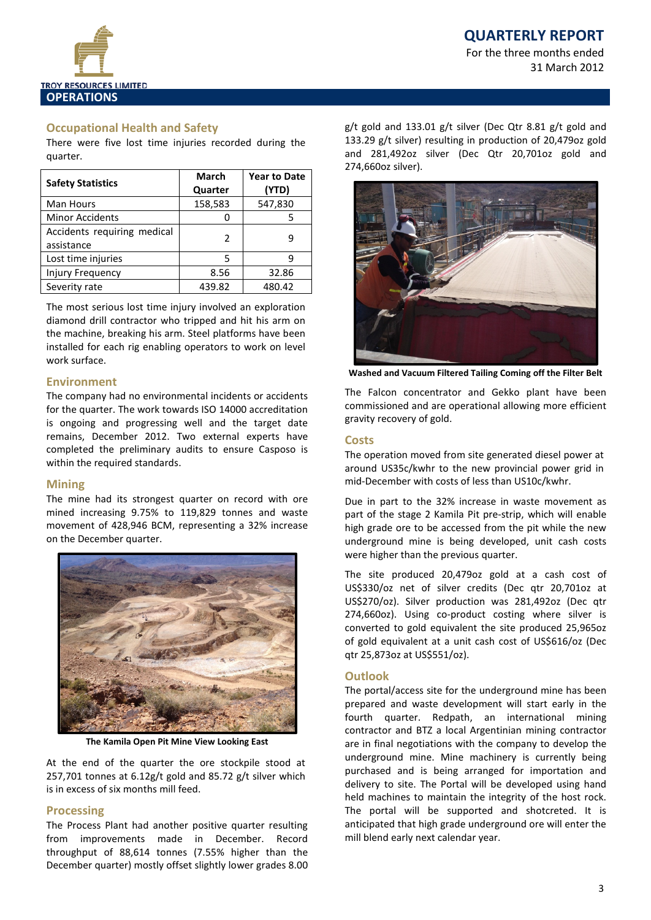## **QUARTERLY REPORT**

For the three months ended 31 March 2012



### **Occupational Health and Safety**

There were five lost time injuries recorded during the quarter.

| <b>Safety Statistics</b>                  | <b>March</b><br>Quarter | <b>Year to Date</b><br>(YTD) |
|-------------------------------------------|-------------------------|------------------------------|
| Man Hours                                 | 158,583                 | 547,830                      |
| <b>Minor Accidents</b>                    |                         | 5                            |
| Accidents requiring medical<br>assistance | $\mathcal{P}$           | q                            |
| Lost time injuries                        | 5                       | q                            |
| <b>Injury Frequency</b>                   | 8.56                    | 32.86                        |
| Severity rate                             | 439.82                  | 480.42                       |

The most serious lost time injury involved an exploration diamond drill contractor who tripped and hit his arm on the machine, breaking his arm. Steel platforms have been installed for each rig enabling operators to work on level work surface.

### **Environment**

The company had no environmental incidents or accidents for the quarter. The work towards ISO 14000 accreditation is ongoing and progressing well and the target date remains, December 2012. Two external experts have completed the preliminary audits to ensure Casposo is within the required standards.

### **Mining**

The mine had its strongest quarter on record with ore mined increasing 9.75% to 119,829 tonnes and waste movement of 428,946 BCM, representing a 32% increase on the December quarter.



**The Kamila Open Pit Mine View Looking East**

At the end of the quarter the ore stockpile stood at 257,701 tonnes at 6.12g/t gold and 85.72 g/t silver which is in excess of six months mill feed.

### **Processing**

The Process Plant had another positive quarter resulting from improvements made in December. Record throughput of 88,614 tonnes (7.55% higher than the December quarter) mostly offset slightly lower grades 8.00

g/t gold and 133.01 g/t silver (Dec Qtr 8.81 g/t gold and 133.29 g/t silver) resulting in production of 20,479oz gold and 281,492oz silver (Dec Qtr 20,701oz gold and 274,660oz silver).



**Washed and Vacuum Filtered Tailing Coming off the Filter Belt**

The Falcon concentrator and Gekko plant have been commissioned and are operational allowing more efficient gravity recovery of gold.

### **Costs**

The operation moved from site generated diesel power at around US35c/kwhr to the new provincial power grid in mid-December with costs of less than US10c/kwhr.

Due in part to the 32% increase in waste movement as part of the stage 2 Kamila Pit pre-strip, which will enable high grade ore to be accessed from the pit while the new underground mine is being developed, unit cash costs were higher than the previous quarter.

The site produced 20,479oz gold at a cash cost of US\$330/oz net of silver credits (Dec qtr 20,701oz at US\$270/oz). Silver production was 281,492oz (Dec qtr 274,660oz). Using co-product costing where silver is converted to gold equivalent the site produced 25,965oz of gold equivalent at a unit cash cost of US\$616/oz (Dec qtr 25,873oz at US\$551/oz).

### **Outlook**

The portal/access site for the underground mine has been prepared and waste development will start early in the fourth quarter. Redpath, an international mining contractor and BTZ a local Argentinian mining contractor are in final negotiations with the company to develop the underground mine. Mine machinery is currently being purchased and is being arranged for importation and delivery to site. The Portal will be developed using hand held machines to maintain the integrity of the host rock. The portal will be supported and shotcreted. It is anticipated that high grade underground ore will enter the mill blend early next calendar year.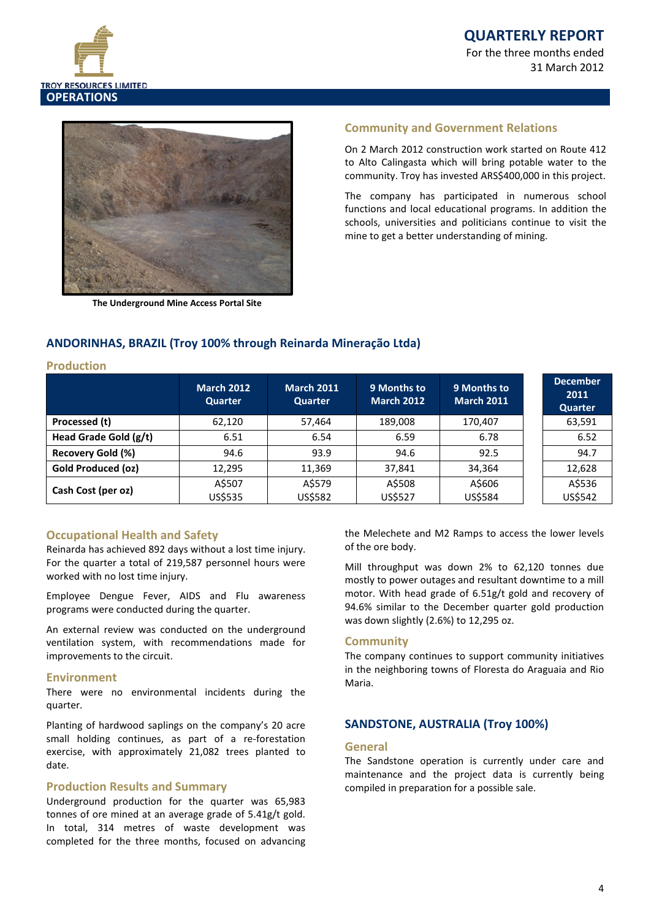

**QUARTERLY REPORT** For the three months ended 31 March 2012



**The Underground Mine Access Portal Site**

### **Community and Government Relations**

On 2 March 2012 construction work started on Route 412 to Alto Calingasta which will bring potable water to the community. Troy has invested ARS\$400,000 in this project.

The company has participated in numerous school functions and local educational programs. In addition the schools, universities and politicians continue to visit the mine to get a better understanding of mining.

### **ANDORINHAS, BRAZIL (Troy 100% through Reinarda Mineração Ltda)**

#### **Production**

|                           | <b>March 2012</b><br>Quarter | <b>March 2011</b><br><b>Quarter</b> | 9 Months to<br><b>March 2012</b> | 9 Months to<br><b>March 2011</b> | <b>December</b><br>2011<br><b>Quarter</b> |
|---------------------------|------------------------------|-------------------------------------|----------------------------------|----------------------------------|-------------------------------------------|
| Processed (t)             | 62,120                       | 57,464                              | 189,008                          | 170,407                          | 63,591                                    |
| Head Grade Gold (g/t)     | 6.51                         | 6.54                                | 6.59                             | 6.78                             | 6.52                                      |
| Recovery Gold (%)         | 94.6                         | 93.9                                | 94.6                             | 92.5                             | 94.7                                      |
| <b>Gold Produced (oz)</b> | 12,295                       | 11,369                              | 37,841                           | 34,364                           | 12,628                                    |
| Cash Cost (per oz)        | A\$507<br>US\$535            | A\$579<br>US\$582                   | A\$508<br>US\$527                | A\$606<br>US\$584                | A\$536<br>US\$542                         |

### **Occupational Health and Safety**

Reinarda has achieved 892 days without a lost time injury. For the quarter a total of 219,587 personnel hours were worked with no lost time injury.

Employee Dengue Fever, AIDS and Flu awareness programs were conducted during the quarter.

An external review was conducted on the underground ventilation system, with recommendations made for improvements to the circuit.

### **Environment**

There were no environmental incidents during the quarter.

Planting of hardwood saplings on the company's 20 acre small holding continues, as part of a re-forestation exercise, with approximately 21,082 trees planted to date.

### **Production Results and Summary**

Underground production for the quarter was 65,983 tonnes of ore mined at an average grade of 5.41g/t gold. In total, 314 metres of waste development was completed for the three months, focused on advancing the Melechete and M2 Ramps to access the lower levels of the ore body.

Mill throughput was down 2% to 62,120 tonnes due mostly to power outages and resultant downtime to a mill motor. With head grade of 6.51g/t gold and recovery of 94.6% similar to the December quarter gold production was down slightly (2.6%) to 12,295 oz.

### **Community**

The company continues to support community initiatives in the neighboring towns of Floresta do Araguaia and Rio Maria.

### **SANDSTONE, AUSTRALIA (Troy 100%)**

### **General**

The Sandstone operation is currently under care and maintenance and the project data is currently being compiled in preparation for a possible sale.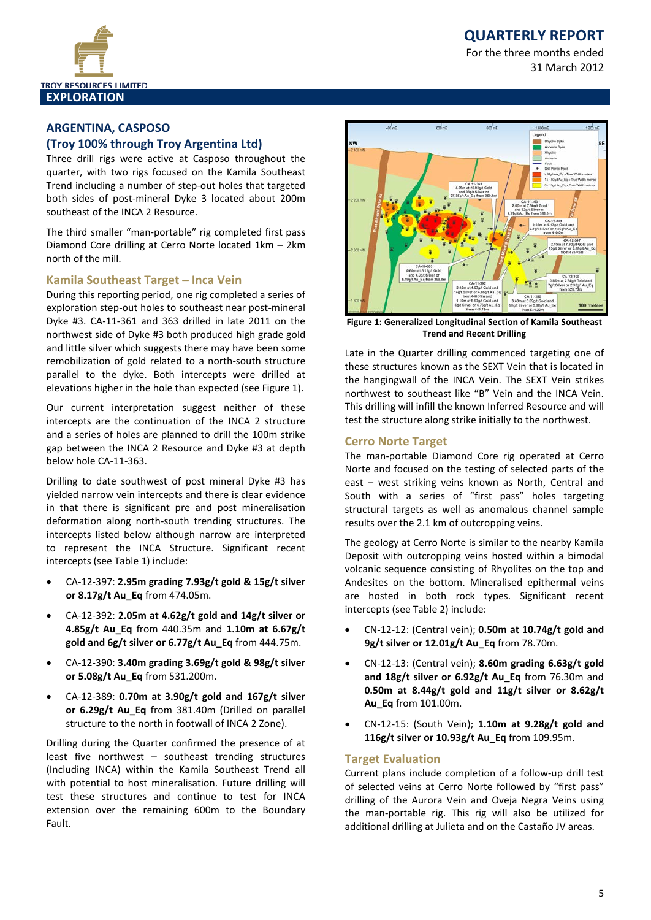## **QUARTERLY REPORT**

For the three months ended 31 March 2012



# **ARGENTINA, CASPOSO**

### **(Troy 100% through Troy Argentina Ltd)**

Three drill rigs were active at Casposo throughout the quarter, with two rigs focused on the Kamila Southeast Trend including a number of step-out holes that targeted both sides of post-mineral Dyke 3 located about 200m southeast of the INCA 2 Resource.

The third smaller "man-portable" rig completed first pass Diamond Core drilling at Cerro Norte located 1km – 2km north of the mill.

### **Kamila Southeast Target – Inca Vein**

During this reporting period, one rig completed a series of exploration step-out holes to southeast near post-mineral Dyke #3. CA-11-361 and 363 drilled in late 2011 on the northwest side of Dyke #3 both produced high grade gold and little silver which suggests there may have been some remobilization of gold related to a north-south structure parallel to the dyke. Both intercepts were drilled at elevations higher in the hole than expected (see Figure 1).

Our current interpretation suggest neither of these intercepts are the continuation of the INCA 2 structure and a series of holes are planned to drill the 100m strike gap between the INCA 2 Resource and Dyke #3 at depth below hole CA-11-363.

Drilling to date southwest of post mineral Dyke #3 has yielded narrow vein intercepts and there is clear evidence in that there is significant pre and post mineralisation deformation along north-south trending structures. The intercepts listed below although narrow are interpreted to represent the INCA Structure. Significant recent intercepts (see Table 1) include:

- CA-12-397: **2.95m grading 7.93g/t gold & 15g/t silver or 8.17g/t Au\_Eq** from 474.05m.
- CA-12-392: **2.05m at 4.62g/t gold and 14g/t silver or 4.85g/t Au\_Eq** from 440.35m and **1.10m at 6.67g/t gold and 6g/t silver or 6.77g/t Au\_Eq** from 444.75m.
- CA-12-390: **3.40m grading 3.69g/t gold & 98g/t silver or 5.08g/t Au\_Eq** from 531.200m.
- CA-12-389: **0.70m at 3.90g/t gold and 167g/t silver or 6.29g/t Au\_Eq** from 381.40m (Drilled on parallel structure to the north in footwall of INCA 2 Zone).

Drilling during the Quarter confirmed the presence of at least five northwest – southeast trending structures (Including INCA) within the Kamila Southeast Trend all with potential to host mineralisation. Future drilling will test these structures and continue to test for INCA extension over the remaining 600m to the Boundary Fault.



**Figure 1: Generalized Longitudinal Section of Kamila Southeast Trend and Recent Drilling**

Late in the Quarter drilling commenced targeting one of these structures known as the SEXT Vein that is located in the hangingwall of the INCA Vein. The SEXT Vein strikes northwest to southeast like "B" Vein and the INCA Vein. This drilling will infill the known Inferred Resource and will test the structure along strike initially to the northwest.

### **Cerro Norte Target**

The man-portable Diamond Core rig operated at Cerro Norte and focused on the testing of selected parts of the east – west striking veins known as North, Central and South with a series of "first pass" holes targeting structural targets as well as anomalous channel sample results over the 2.1 km of outcropping veins.

The geology at Cerro Norte is similar to the nearby Kamila Deposit with outcropping veins hosted within a bimodal volcanic sequence consisting of Rhyolites on the top and Andesites on the bottom. Mineralised epithermal veins are hosted in both rock types. Significant recent intercepts (see Table 2) include:

- CN-12-12: (Central vein); **0.50m at 10.74g/t gold and 9g/t silver or 12.01g/t Au\_Eq** from 78.70m.
- CN-12-13: (Central vein); **8.60m grading 6.63g/t gold and 18g/t silver or 6.92g/t Au\_Eq** from 76.30m and **0.50m at 8.44g/t gold and 11g/t silver or 8.62g/t Au\_Eq** from 101.00m.
- CN-12-15: (South Vein); **1.10m at 9.28g/t gold and 116g/t silver or 10.93g/t Au\_Eq** from 109.95m.

### **Target Evaluation**

Current plans include completion of a follow-up drill test of selected veins at Cerro Norte followed by "first pass" drilling of the Aurora Vein and Oveja Negra Veins using the man-portable rig. This rig will also be utilized for additional drilling at Julieta and on the Castaño JV areas.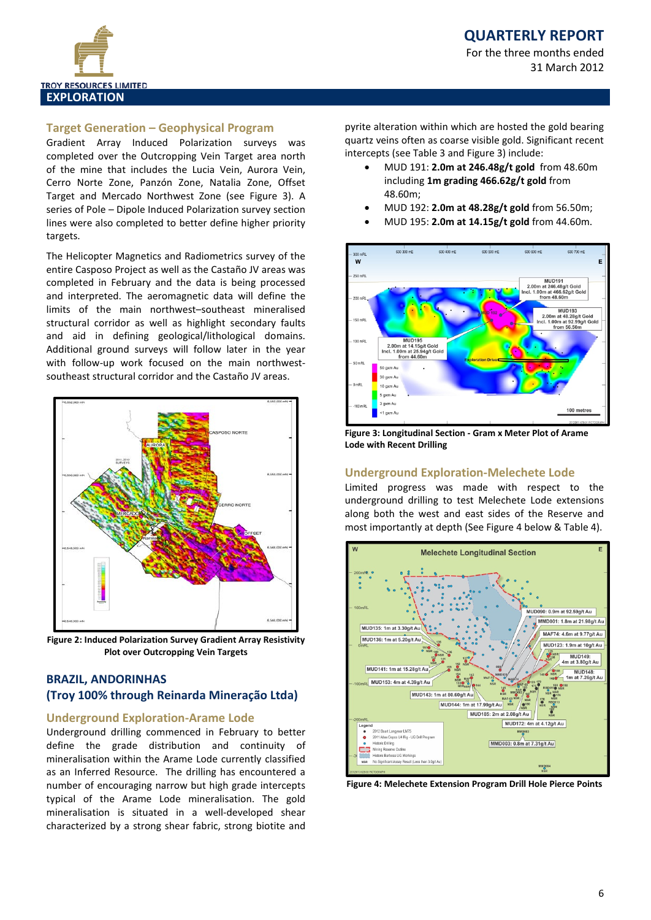

### **Target Generation – Geophysical Program**

Gradient Array Induced Polarization surveys was completed over the Outcropping Vein Target area north of the mine that includes the Lucia Vein, Aurora Vein, Cerro Norte Zone, Panzón Zone, Natalia Zone, Offset Target and Mercado Northwest Zone (see Figure 3). A series of Pole – Dipole Induced Polarization survey section lines were also completed to better define higher priority targets.

The Helicopter Magnetics and Radiometrics survey of the entire Casposo Project as well as the Castaño JV areas was completed in February and the data is being processed and interpreted. The aeromagnetic data will define the limits of the main northwest–southeast mineralised structural corridor as well as highlight secondary faults and aid in defining geological/lithological domains. Additional ground surveys will follow later in the year with follow-up work focused on the main northwestsoutheast structural corridor and the Castaño JV areas.



**Figure 2: Induced Polarization Survey Gradient Array Resistivity Plot over Outcropping Vein Targets**

### **BRAZIL, ANDORINHAS (Troy 100% through Reinarda Mineração Ltda)**

### **Underground Exploration-Arame Lode**

Underground drilling commenced in February to better define the grade distribution and continuity of mineralisation within the Arame Lode currently classified as an Inferred Resource. The drilling has encountered a number of encouraging narrow but high grade intercepts typical of the Arame Lode mineralisation. The gold mineralisation is situated in a well-developed shear characterized by a strong shear fabric, strong biotite and

pyrite alteration within which are hosted the gold bearing quartz veins often as coarse visible gold. Significant recent intercepts (see Table 3 and Figure 3) include:

- MUD 191: **2.0m at 246.48g/t gold** from 48.60m including **1m grading 466.62g/t gold** from 48.60m;
- MUD 192: **2.0m at 48.28g/t gold** from 56.50m;
- MUD 195: **2.0m at 14.15g/t gold** from 44.60m.



**Figure 3: Longitudinal Section - Gram x Meter Plot of Arame Lode with Recent Drilling**

### **Underground Exploration-Melechete Lode**

Limited progress was made with respect to the underground drilling to test Melechete Lode extensions along both the west and east sides of the Reserve and most importantly at depth (See Figure 4 below & Table 4).



**Figure 4: Melechete Extension Program Drill Hole Pierce Points**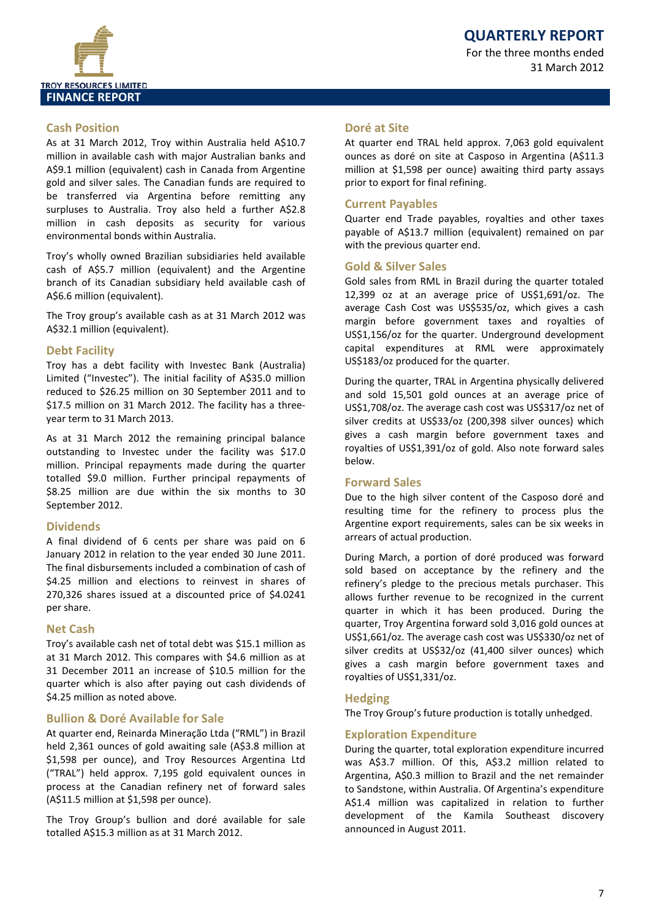

### **Cash Position**

As at 31 March 2012, Troy within Australia held A\$10.7 million in available cash with major Australian banks and A\$9.1 million (equivalent) cash in Canada from Argentine gold and silver sales. The Canadian funds are required to be transferred via Argentina before remitting any surpluses to Australia. Troy also held a further A\$2.8 million in cash deposits as security for various environmental bonds within Australia.

Troy's wholly owned Brazilian subsidiaries held available cash of A\$5.7 million (equivalent) and the Argentine branch of its Canadian subsidiary held available cash of A\$6.6 million (equivalent).

The Troy group's available cash as at 31 March 2012 was A\$32.1 million (equivalent).

### **Debt Facility**

Troy has a debt facility with Investec Bank (Australia) Limited ("Investec"). The initial facility of A\$35.0 million reduced to \$26.25 million on 30 September 2011 and to \$17.5 million on 31 March 2012. The facility has a threeyear term to 31 March 2013.

As at 31 March 2012 the remaining principal balance outstanding to Investec under the facility was \$17.0 million. Principal repayments made during the quarter totalled \$9.0 million. Further principal repayments of \$8.25 million are due within the six months to 30 September 2012.

### **Dividends**

A final dividend of 6 cents per share was paid on 6 January 2012 in relation to the year ended 30 June 2011. The final disbursements included a combination of cash of \$4.25 million and elections to reinvest in shares of 270,326 shares issued at a discounted price of \$4.0241 per share.

### **Net Cash**

Troy's available cash net of total debt was \$15.1 million as at 31 March 2012. This compares with \$4.6 million as at 31 December 2011 an increase of \$10.5 million for the quarter which is also after paying out cash dividends of \$4.25 million as noted above.

### **Bullion & Doré Available for Sale**

At quarter end, Reinarda Mineração Ltda ("RML") in Brazil held 2,361 ounces of gold awaiting sale (A\$3.8 million at \$1,598 per ounce), and Troy Resources Argentina Ltd ("TRAL") held approx. 7,195 gold equivalent ounces in process at the Canadian refinery net of forward sales (A\$11.5 million at \$1,598 per ounce).

The Troy Group's bullion and doré available for sale totalled A\$15.3 million as at 31 March 2012.

### **Doré at Site**

At quarter end TRAL held approx. 7,063 gold equivalent ounces as doré on site at Casposo in Argentina (A\$11.3 million at \$1,598 per ounce) awaiting third party assays prior to export for final refining.

### **Current Payables**

Quarter end Trade payables, royalties and other taxes payable of A\$13.7 million (equivalent) remained on par with the previous quarter end.

### **Gold & Silver Sales**

Gold sales from RML in Brazil during the quarter totaled 12,399 oz at an average price of US\$1,691/oz. The average Cash Cost was US\$535/oz, which gives a cash margin before government taxes and royalties of US\$1,156/oz for the quarter. Underground development capital expenditures at RML were approximately US\$183/oz produced for the quarter.

During the quarter, TRAL in Argentina physically delivered and sold 15,501 gold ounces at an average price of US\$1,708/oz. The average cash cost was US\$317/oz net of silver credits at US\$33/oz (200,398 silver ounces) which gives a cash margin before government taxes and royalties of US\$1,391/oz of gold. Also note forward sales below.

### **Forward Sales**

Due to the high silver content of the Casposo doré and resulting time for the refinery to process plus the Argentine export requirements, sales can be six weeks in arrears of actual production.

During March, a portion of doré produced was forward sold based on acceptance by the refinery and the refinery's pledge to the precious metals purchaser. This allows further revenue to be recognized in the current quarter in which it has been produced. During the quarter, Troy Argentina forward sold 3,016 gold ounces at US\$1,661/oz. The average cash cost was US\$330/oz net of silver credits at US\$32/oz (41,400 silver ounces) which gives a cash margin before government taxes and royalties of US\$1,331/oz.

### **Hedging**

The Troy Group's future production is totally unhedged.

### **Exploration Expenditure**

During the quarter, total exploration expenditure incurred was A\$3.7 million. Of this, A\$3.2 million related to Argentina, A\$0.3 million to Brazil and the net remainder to Sandstone, within Australia. Of Argentina's expenditure A\$1.4 million was capitalized in relation to further development of the Kamila Southeast discovery announced in August 2011.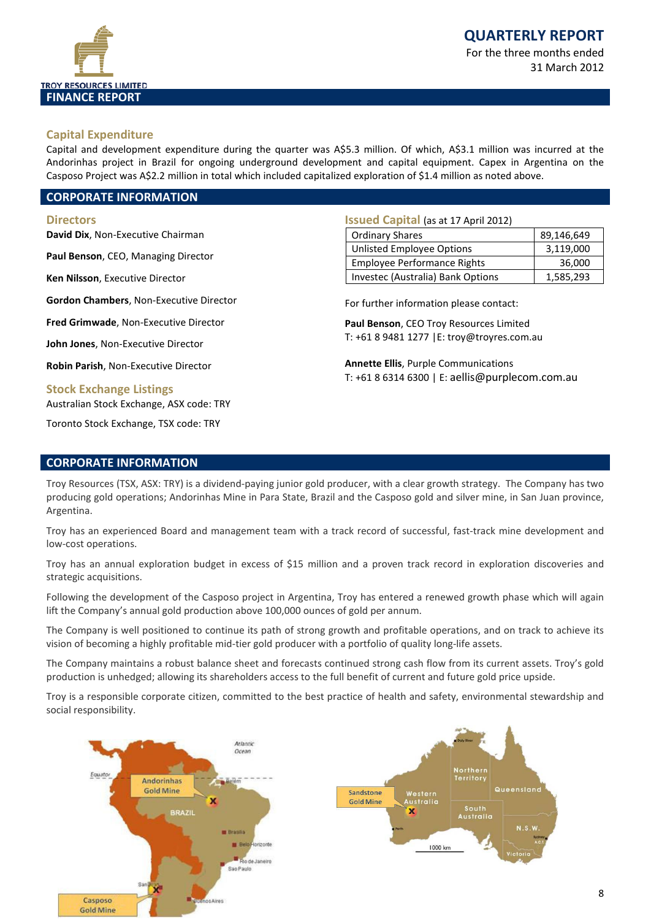

31 March 2012

### **Capital Expenditure**

Capital and development expenditure during the quarter was A\$5.3 million. Of which, A\$3.1 million was incurred at the Andorinhas project in Brazil for ongoing underground development and capital equipment. Capex in Argentina on the Casposo Project was A\$2.2 million in total which included capitalized exploration of \$1.4 million as noted above.

### **CORPORATE INFORMATION**

#### **Directors**

**David Dix**, Non-Executive Chairman

**Paul Benson**, CEO, Managing Director

**Ken Nilsson**, Executive Director

**Gordon Chambers**, Non-Executive Director

**Fred Grimwade**, Non-Executive Director

**John Jones**, Non-Executive Director

**Robin Parish**, Non-Executive Director

### **Stock Exchange Listings**

Australian Stock Exchange, ASX code: TRY

Toronto Stock Exchange, TSX code: TRY

### **Issued Capital** (as at 17 April 2012)

| <b>Ordinary Shares</b>             | 89,146,649 |
|------------------------------------|------------|
| <b>Unlisted Employee Options</b>   | 3,119,000  |
| <b>Employee Performance Rights</b> | 36,000     |
| Investec (Australia) Bank Options  | 1,585,293  |

For further information please contact:

**Paul Benson**, CEO Troy Resources Limited T: +61 8 9481 1277 |E: troy@troyres.com.au

**Annette Ellis**, Purple Communications T: +61 8 6314 6300 | E: [aellis@purplecom.com.au](mailto:aellis@purplecom.com.au)

### **CORPORATE INFORMATION**

Troy Resources (TSX, ASX: TRY) is a dividend-paying junior gold producer, with a clear growth strategy. The Company has two producing gold operations; Andorinhas Mine in Para State, Brazil and the Casposo gold and silver mine, in San Juan province, Argentina.

Troy has an experienced Board and management team with a track record of successful, fast-track mine development and low-cost operations.

Troy has an annual exploration budget in excess of \$15 million and a proven track record in exploration discoveries and strategic acquisitions.

Following the development of the Casposo project in Argentina, Troy has entered a renewed growth phase which will again lift the Company's annual gold production above 100,000 ounces of gold per annum.

The Company is well positioned to continue its path of strong growth and profitable operations, and on track to achieve its vision of becoming a highly profitable mid-tier gold producer with a portfolio of quality long-life assets.

The Company maintains a robust balance sheet and forecasts continued strong cash flow from its current assets. Troy's gold production is unhedged; allowing its shareholders access to the full benefit of current and future gold price upside.

Troy is a responsible corporate citizen, committed to the best practice of health and safety, environmental stewardship and social responsibility.

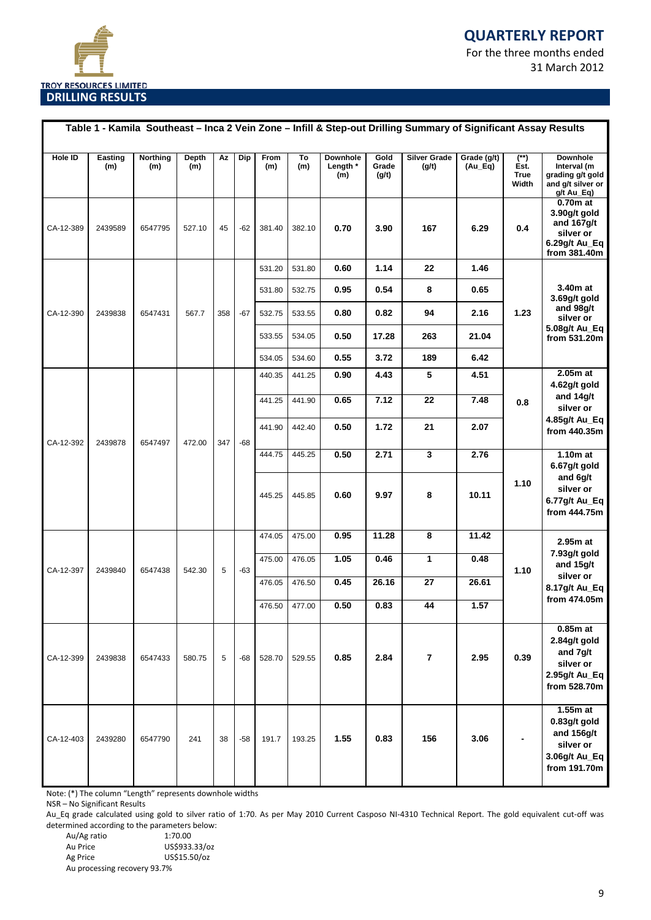# **QUARTERLY REPORT**

For the three months ended 31 March 2012



|           |                |                 |              |     |       |             |           |                             |                        | Table 1 - Kamila Southeast - Inca 2 Vein Zone - Infill & Step-out Drilling Summary of Significant Assay Results |                                                    |                                               |                                                                                        |
|-----------|----------------|-----------------|--------------|-----|-------|-------------|-----------|-----------------------------|------------------------|-----------------------------------------------------------------------------------------------------------------|----------------------------------------------------|-----------------------------------------------|----------------------------------------------------------------------------------------|
| Hole ID   | Easting<br>(m) | Northing<br>(m) | Depth<br>(m) | Az  | Dip   | From<br>(m) | To<br>(m) | Downhole<br>Length *<br>(m) | Gold<br>Grade<br>(g/t) | <b>Silver Grade</b><br>(g/t)                                                                                    | Grade (g/t)<br>$(Au$ <sub><math>-Eq</math></sub> ) | $(\ast \ast)$<br>Est.<br><b>True</b><br>Width | <b>Downhole</b><br>Interval (m<br>grading g/t gold<br>and g/t silver or<br>g/t Au_Eq)  |
| CA-12-389 | 2439589        | 6547795         | 527.10       | 45  | $-62$ | 381.40      | 382.10    | 0.70                        | 3.90                   | 167                                                                                                             | 6.29                                               | 0.4                                           | 0.70m at<br>3.90g/t gold<br>and $167g/t$<br>silver or<br>6.29g/t Au_Eq<br>from 381.40m |
|           |                |                 |              |     |       | 531.20      | 531.80    | 0.60                        | 1.14                   | 22                                                                                                              | 1.46                                               |                                               |                                                                                        |
|           |                |                 |              |     |       | 531.80      | 532.75    | 0.95                        | 0.54                   | 8                                                                                                               | 0.65                                               |                                               | 3.40m at<br>3.69g/t gold                                                               |
| CA-12-390 | 2439838        | 6547431         | 567.7        | 358 | $-67$ | 532.75      | 533.55    | 0.80                        | 0.82                   | 94                                                                                                              | 2.16                                               | 1.23                                          | and 98g/t<br>silver or                                                                 |
|           |                |                 |              |     |       | 533.55      | 534.05    | 0.50                        | 17.28                  | 263                                                                                                             | 21.04                                              |                                               | 5.08g/t Au_Eq<br>from 531.20m                                                          |
|           |                |                 |              |     |       | 534.05      | 534.60    | 0.55                        | 3.72                   | 189                                                                                                             | 6.42                                               |                                               |                                                                                        |
|           |                |                 |              |     |       | 440.35      | 441.25    | 0.90                        | 4.43                   | 5                                                                                                               | 4.51                                               |                                               | $2.05m$ at<br>4.62g/t gold                                                             |
|           |                |                 |              |     |       | 441.25      | 441.90    | 0.65                        | 7.12                   | 22                                                                                                              | 7.48                                               | 0.8                                           | and 14g/t<br>silver or                                                                 |
| CA-12-392 | 2439878        | 6547497         | 472.00       | 347 | $-68$ | 441.90      | 442.40    | 0.50                        | 1.72                   | 21                                                                                                              | 2.07                                               |                                               | 4.85g/t Au_Eq<br>from 440.35m                                                          |
|           |                |                 |              |     |       | 444.75      | 445.25    | 0.50                        | 2.71                   | 3                                                                                                               | 2.76                                               |                                               | $1.10m$ at<br>6.67g/t gold                                                             |
|           |                |                 |              |     |       | 445.25      | 445.85    | 0.60                        | 9.97                   | 8                                                                                                               | 10.11                                              | 1.10                                          | and 6g/t<br>silver or<br>6.77g/t Au_Eq<br>from 444.75m                                 |
|           |                |                 |              |     |       | 474.05      | 475.00    | 0.95                        | 11.28                  | 8                                                                                                               | 11.42                                              |                                               | 2.95m at                                                                               |
| CA-12-397 | 2439840        | 6547438         | 542.30       | 5   | $-63$ | 475.00      | 476.05    | 1.05                        | 0.46                   | 1                                                                                                               | 0.48                                               | 1.10                                          | 7.93g/t gold<br>and 15g/t                                                              |
|           |                |                 |              |     |       | 476.05      | 476.50    | 0.45                        | 26.16                  | 27                                                                                                              | 26.61                                              |                                               | silver or<br>8.17g/t Au_Eq                                                             |
|           |                |                 |              |     |       | 476.50      | 477.00    | 0.50                        | 0.83                   | 44                                                                                                              | 1.57                                               |                                               | from 474.05m                                                                           |
| CA-12-399 | 2439838        | 6547433         | 580.75       | 5   | $-68$ | 528.70      | 529.55    | 0.85                        | 2.84                   | $\overline{7}$                                                                                                  | 2.95                                               | 0.39                                          | $0.85m$ at<br>2.84g/t gold<br>and 7g/t<br>silver or<br>2.95g/t Au_Eq<br>from 528.70m   |
| CA-12-403 | 2439280        | 6547790         | 241          | 38  | $-58$ | 191.7       | 193.25    | 1.55                        | 0.83                   | 156                                                                                                             | 3.06                                               |                                               | $1.55m$ at<br>0.83g/t gold<br>and 156g/t<br>silver or<br>3.06g/t Au_Eq<br>from 191.70m |

Note: (\*) The column "Length" represents downhole widths

NSR – No Significant Results

Au\_Eq grade calculated using gold to silver ratio of 1:70. As per May 2010 Current Casposo NI-4310 Technical Report. The gold equivalent cut-off was determined according to the parameters below:

| Au/Ag ratio                  | 1:70.00       |
|------------------------------|---------------|
| Au Price                     | US\$933.33/oz |
| Ag Price                     | US\$15.50/oz  |
| Au processing recovery 93.7% |               |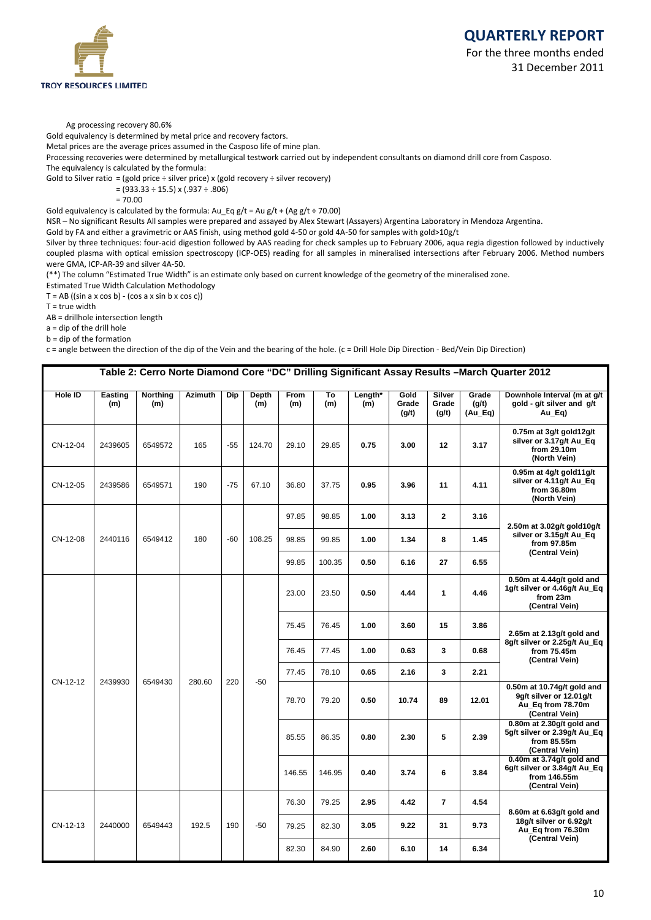



#### Ag processing recovery 80.6%

Gold equivalency is determined by metal price and recovery factors.

Metal prices are the average prices assumed in the Casposo life of mine plan.

Processing recoveries were determined by metallurgical testwork carried out by independent consultants on diamond drill core from Casposo. The equivalency is calculated by the formula:

Gold to Silver ratio = (gold price  $\div$  silver price) x (gold recovery  $\div$  silver recovery)

 $=(933.33 \div 15.5) \times (.937 \div .806)$ 

 $= 70.00$ 

Gold equivalency is calculated by the formula:  $Au_Eq g/t = Au g/t + (Ag g/t \div 70.00)$ 

NSR – No significant Results All samples were prepared and assayed by Alex Stewart (Assayers) Argentina Laboratory in Mendoza Argentina.

Gold by FA and either a gravimetric or AAS finish, using method gold 4-50 or gold 4A-50 for samples with gold>10g/t

Silver by three techniques: four-acid digestion followed by AAS reading for check samples up to February 2006, aqua regia digestion followed by inductively coupled plasma with optical emission spectroscopy (ICP-OES) reading for all samples in mineralised intersections after February 2006. Method numbers were GMA, ICP-AR-39 and silver 4A-50.

(\*\*) The column "Estimated True Width" is an estimate only based on current knowledge of the geometry of the mineralised zone.

Estimated True Width Calculation Methodology

 $T = AB$  ((sin a x cos b) - (cos a x sin b x cos c))

 $T = true$  width

AB = drillhole intersection length

a = dip of the drill hole

b = dip of the formation

c = angle between the direction of the dip of the Vein and the bearing of the hole. (c = Drill Hole Dip Direction - Bed/Vein Dip Direction)

| Table 2: Cerro Norte Diamond Core "DC" Drilling Significant Assay Results -March Quarter 2012 |                |                        |                |       |                     |             |           |                |                        |                          |                             |                                                                                                |
|-----------------------------------------------------------------------------------------------|----------------|------------------------|----------------|-------|---------------------|-------------|-----------|----------------|------------------------|--------------------------|-----------------------------|------------------------------------------------------------------------------------------------|
| <b>Hole ID</b>                                                                                | Easting<br>(m) | <b>Northing</b><br>(m) | <b>Azimuth</b> | Dip   | <b>Depth</b><br>(m) | From<br>(m) | To<br>(m) | Length*<br>(m) | Gold<br>Grade<br>(g/t) | Silver<br>Grade<br>(g/t) | Grade<br>(q/t)<br>$(Au_Eq)$ | Downhole Interval (m at g/t<br>gold - g/t silver and g/t<br>Au Eg)                             |
| CN-12-04                                                                                      | 2439605        | 6549572                | 165            | $-55$ | 124.70              | 29.10       | 29.85     | 0.75           | 3.00                   | 12                       | 3.17                        | 0.75m at 3g/t gold12g/t<br>silver or 3.17g/t Au_Eq<br>from 29.10m<br>(North Vein)              |
| CN-12-05                                                                                      | 2439586        | 6549571                | 190            | $-75$ | 67.10               | 36.80       | 37.75     | 0.95           | 3.96                   | 11                       | 4.11                        | 0.95m at 4g/t gold11g/t<br>silver or 4.11g/t Au_Eq<br>from 36.80m<br>(North Vein)              |
|                                                                                               |                |                        |                |       |                     | 97.85       | 98.85     | 1.00           | 3.13                   | $\mathbf{2}$             | 3.16                        | 2.50m at 3.02g/t gold10g/t                                                                     |
| CN-12-08                                                                                      | 2440116        | 6549412                | 180            | $-60$ | 108.25              | 98.85       | 99.85     | 1.00           | 1.34                   | 8                        | 1.45                        | silver or 3.15g/t Au_Eq<br>from 97.85m                                                         |
|                                                                                               |                |                        |                |       |                     | 99.85       | 100.35    | 0.50           | 6.16                   | 27                       | 6.55                        | (Central Vein)                                                                                 |
|                                                                                               |                |                        |                |       |                     | 23.00       | 23.50     | 0.50           | 4.44                   | $\mathbf{1}$             | 4.46                        | 0.50m at 4.44g/t gold and<br>1g/t silver or 4.46g/t Au_Eq<br>from 23m<br>(Central Vein)        |
|                                                                                               |                |                        |                |       |                     | 75.45       | 76.45     | 1.00           | 3.60                   | 15                       | 3.86                        | 2.65m at 2.13g/t gold and                                                                      |
|                                                                                               |                |                        |                |       |                     | 76.45       | 77.45     | 1.00           | 0.63                   | 3                        | 0.68                        | 8g/t silver or 2.25g/t Au_Eq<br>from 75.45m<br>(Central Vein)                                  |
|                                                                                               |                |                        |                |       |                     | 77.45       | 78.10     | 0.65           | 2.16                   | 3                        | 2.21                        |                                                                                                |
| CN-12-12                                                                                      | 2439930        | 6549430                | 280.60         | 220   | $-50$               | 78.70       | 79.20     | 0.50           | 10.74                  | 89                       | 12.01                       | $0.50m$ at 10.74g/t gold and<br>9g/t silver or 12.01g/t<br>Au_Eq from 78.70m<br>(Central Vein) |
|                                                                                               |                |                        |                |       |                     | 85.55       | 86.35     | 0.80           | 2.30                   | 5                        | 2.39                        | 0.80m at 2.30g/t gold and<br>5g/t silver or 2.39g/t Au_Eq<br>from 85.55m<br>(Central Vein)     |
|                                                                                               |                |                        |                |       |                     | 146.55      | 146.95    | 0.40           | 3.74                   | 6                        | 3.84                        | 0.40m at 3.74g/t gold and<br>6g/t silver or 3.84g/t Au_Eq<br>from 146.55m<br>(Central Vein)    |
|                                                                                               |                |                        |                |       |                     | 76.30       | 79.25     | 2.95           | 4.42                   | 7                        | 4.54                        | 8.60m at 6.63g/t gold and                                                                      |
| CN-12-13                                                                                      | 2440000        | 6549443                | 192.5          | 190   | $-50$               | 79.25       | 82.30     | 3.05           | 9.22                   | 31                       | 9.73                        | 18g/t silver or 6.92g/t<br>Au_Eq from 76.30m                                                   |
|                                                                                               |                |                        |                |       |                     | 82.30       | 84.90     | 2.60           | 6.10                   | 14                       | 6.34                        | (Central Vein)                                                                                 |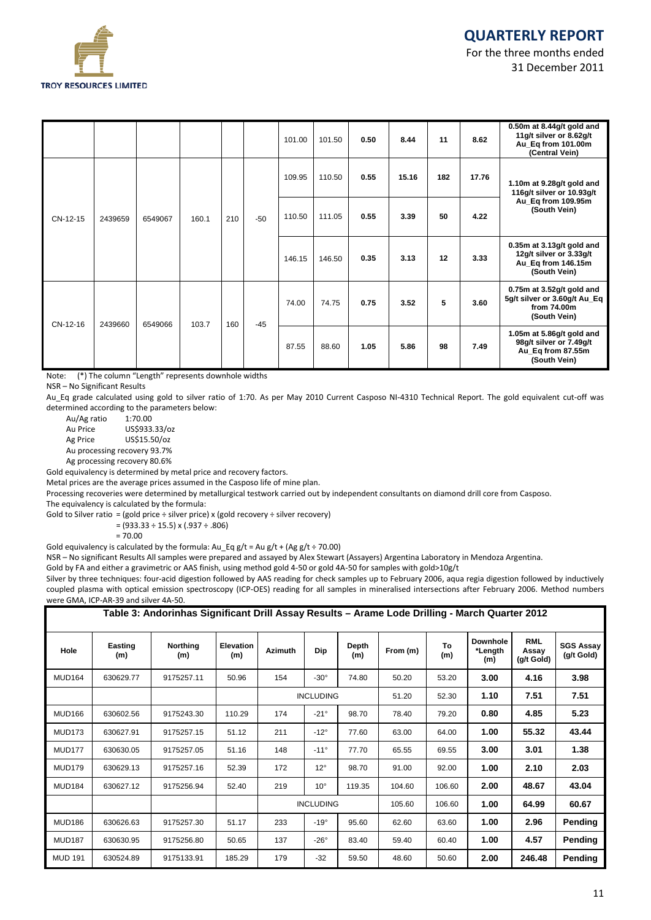

|          |         |         |       |     |       | 101.00 | 101.50 | 0.50 | 8.44  | 11  | 8.62  | 0.50 $m$ at 8.44 $g/t$ gold and<br>11g/t silver or 8.62g/t<br>Au_Eq from 101.00m<br>(Central Vein) |
|----------|---------|---------|-------|-----|-------|--------|--------|------|-------|-----|-------|----------------------------------------------------------------------------------------------------|
|          |         |         |       |     |       | 109.95 | 110.50 | 0.55 | 15.16 | 182 | 17.76 | 1.10m at 9.28g/t gold and<br>116g/t silver or 10.93g/t                                             |
| CN-12-15 | 2439659 | 6549067 | 160.1 | 210 | $-50$ | 110.50 | 111.05 | 0.55 | 3.39  | 50  | 4.22  | Au_Eq from 109.95m<br>(South Vein)                                                                 |
|          |         |         |       |     |       | 146.15 | 146.50 | 0.35 | 3.13  | 12  | 3.33  | $0.35m$ at 3.13g/t gold and<br>12g/t silver or 3.33g/t<br>Au_Eq from 146.15m<br>(South Vein)       |
| CN-12-16 | 2439660 | 6549066 | 103.7 | 160 | $-45$ | 74.00  | 74.75  | 0.75 | 3.52  | 5   | 3.60  | 0.75 $m$ at 3.52g/t gold and<br>5g/t silver or 3.60g/t Au_Eq<br>from 74.00m<br>(South Vein)        |
|          |         |         |       |     |       | 87.55  | 88.60  | 1.05 | 5.86  | 98  | 7.49  | 1.05 $m$ at 5.86 $g/t$ gold and<br>98g/t silver or 7.49g/t<br>Au_Eq from 87.55m<br>(South Vein)    |

Note: (\*) The column "Length" represents downhole widths

NSR – No Significant Results

Au\_Eq grade calculated using gold to silver ratio of 1:70. As per May 2010 Current Casposo NI-4310 Technical Report. The gold equivalent cut-off was determined according to the parameters below:<br>Au/Ag ratio 1:70.00

Au/Ag ratio<br>Au Price Au Price US\$933.33/oz Ag Price US\$15.50/oz Au processing recovery 93.7%

Ag processing recovery 80.6%

Gold equivalency is determined by metal price and recovery factors.

Metal prices are the average prices assumed in the Casposo life of mine plan.

Processing recoveries were determined by metallurgical testwork carried out by independent consultants on diamond drill core from Casposo.

The equivalency is calculated by the formula:

Gold to Silver ratio = (gold price  $\div$  silver price) x (gold recovery  $\div$  silver recovery)

 $=(933.33 \div 15.5) \times (.937 \div .806)$ 

= 70.00

Gold equivalency is calculated by the formula:  $Au_Eqg/t = Au g/t + (Ag g/t \div 70.00)$ 

NSR – No significant Results All samples were prepared and assayed by Alex Stewart (Assayers) Argentina Laboratory in Mendoza Argentina.

Gold by FA and either a gravimetric or AAS finish, using method gold 4-50 or gold 4A-50 for samples with gold>10g/t

Silver by three techniques: four-acid digestion followed by AAS reading for check samples up to February 2006, aqua regia digestion followed by inductively coupled plasma with optical emission spectroscopy (ICP-OES) reading for all samples in mineralised intersections after February 2006. Method numbers were GMA, ICP-AR-39 and silver 4A-50.

|                | Table 3: Andorinhas Significant Drill Assay Results – Arame Lode Drilling - March Quarter 2012 |                 |                         |                |                  |              |          |           |                                   |                                   |                                |  |  |  |
|----------------|------------------------------------------------------------------------------------------------|-----------------|-------------------------|----------------|------------------|--------------|----------|-----------|-----------------------------------|-----------------------------------|--------------------------------|--|--|--|
| Hole           | Easting<br>(m)                                                                                 | Northing<br>(m) | <b>Elevation</b><br>(m) | <b>Azimuth</b> | Dip              | Depth<br>(m) | From (m) | To<br>(m) | <b>Downhole</b><br>*Length<br>(m) | <b>RML</b><br>Assay<br>(g/t Gold) | <b>SGS Assay</b><br>(g/t Gold) |  |  |  |
| <b>MUD164</b>  | 630629.77                                                                                      | 9175257.11      | 50.96                   | 154            | $-30^\circ$      | 74.80        | 50.20    | 53.20     | 3.00                              | 4.16                              | 3.98                           |  |  |  |
|                |                                                                                                |                 |                         |                | <b>INCLUDING</b> |              | 51.20    | 52.30     | 1.10                              | 7.51                              | 7.51                           |  |  |  |
| <b>MUD166</b>  | 630602.56                                                                                      | 9175243.30      | 110.29                  | 174            | $-21^\circ$      | 98.70        | 78.40    | 79.20     | 0.80                              | 4.85                              | 5.23                           |  |  |  |
| <b>MUD173</b>  | 630627.91                                                                                      | 9175257.15      | 51.12                   | 211            | $-12^\circ$      | 77.60        | 63.00    | 64.00     | 1.00                              | 55.32                             | 43.44                          |  |  |  |
| <b>MUD177</b>  | 630630.05                                                                                      | 9175257.05      | 51.16                   | 148            | $-11^{\circ}$    | 77.70        | 65.55    | 69.55     | 3.00                              | 3.01                              | 1.38                           |  |  |  |
| <b>MUD179</b>  | 630629.13                                                                                      | 9175257.16      | 52.39                   | 172            | $12^{\circ}$     | 98.70        | 91.00    | 92.00     | 1.00                              | 2.10                              | 2.03                           |  |  |  |
| <b>MUD184</b>  | 630627.12                                                                                      | 9175256.94      | 52.40                   | 219            | $10^{\circ}$     | 119.35       | 104.60   | 106.60    | 2.00                              | 48.67                             | 43.04                          |  |  |  |
|                |                                                                                                |                 |                         |                | <b>INCLUDING</b> |              | 105.60   | 106.60    | 1.00                              | 64.99                             | 60.67                          |  |  |  |
| <b>MUD186</b>  | 630626.63                                                                                      | 9175257.30      | 51.17                   | 233            | $-19^\circ$      | 95.60        | 62.60    | 63.60     | 1.00                              | 2.96                              | Pending                        |  |  |  |
| <b>MUD187</b>  | 630630.95                                                                                      | 9175256.80      | 50.65                   | 137            | $-26^\circ$      | 83.40        | 59.40    | 60.40     | 1.00                              | 4.57                              | Pending                        |  |  |  |
| <b>MUD 191</b> | 630524.89                                                                                      | 9175133.91      | 185.29                  | 179            | $-32$            | 59.50        | 48.60    | 50.60     | 2.00                              | 246.48                            | Pending                        |  |  |  |